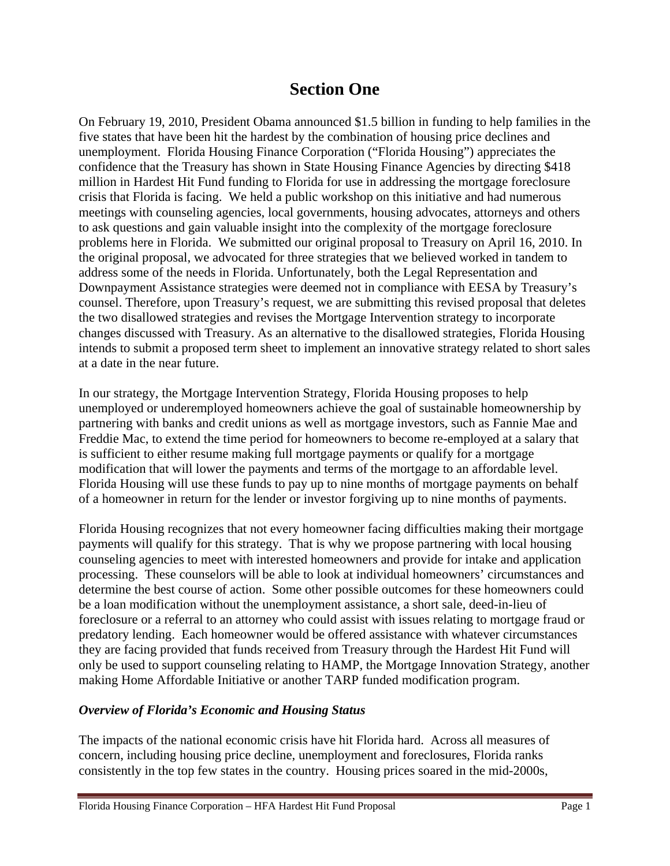## **Section One**

On February 19, 2010, President Obama announced \$1.5 billion in funding to help families in the five states that have been hit the hardest by the combination of housing price declines and unemployment. Florida Housing Finance Corporation ("Florida Housing") appreciates the confidence that the Treasury has shown in State Housing Finance Agencies by directing \$418 million in Hardest Hit Fund funding to Florida for use in addressing the mortgage foreclosure crisis that Florida is facing. We held a public workshop on this initiative and had numerous meetings with counseling agencies, local governments, housing advocates, attorneys and others to ask questions and gain valuable insight into the complexity of the mortgage foreclosure problems here in Florida. We submitted our original proposal to Treasury on April 16, 2010. In the original proposal, we advocated for three strategies that we believed worked in tandem to address some of the needs in Florida. Unfortunately, both the Legal Representation and Downpayment Assistance strategies were deemed not in compliance with EESA by Treasury's counsel. Therefore, upon Treasury's request, we are submitting this revised proposal that deletes the two disallowed strategies and revises the Mortgage Intervention strategy to incorporate changes discussed with Treasury. As an alternative to the disallowed strategies, Florida Housing intends to submit a proposed term sheet to implement an innovative strategy related to short sales at a date in the near future.

In our strategy, the Mortgage Intervention Strategy, Florida Housing proposes to help unemployed or underemployed homeowners achieve the goal of sustainable homeownership by partnering with banks and credit unions as well as mortgage investors, such as Fannie Mae and Freddie Mac, to extend the time period for homeowners to become re-employed at a salary that is sufficient to either resume making full mortgage payments or qualify for a mortgage modification that will lower the payments and terms of the mortgage to an affordable level. Florida Housing will use these funds to pay up to nine months of mortgage payments on behalf of a homeowner in return for the lender or investor forgiving up to nine months of payments.

Florida Housing recognizes that not every homeowner facing difficulties making their mortgage payments will qualify for this strategy. That is why we propose partnering with local housing counseling agencies to meet with interested homeowners and provide for intake and application processing. These counselors will be able to look at individual homeowners' circumstances and determine the best course of action. Some other possible outcomes for these homeowners could be a loan modification without the unemployment assistance, a short sale, deed-in-lieu of foreclosure or a referral to an attorney who could assist with issues relating to mortgage fraud or predatory lending. Each homeowner would be offered assistance with whatever circumstances they are facing provided that funds received from Treasury through the Hardest Hit Fund will only be used to support counseling relating to HAMP, the Mortgage Innovation Strategy, another making Home Affordable Initiative or another TARP funded modification program.

#### *Overview of Florida's Economic and Housing Status*

The impacts of the national economic crisis have hit Florida hard. Across all measures of concern, including housing price decline, unemployment and foreclosures, Florida ranks consistently in the top few states in the country. Housing prices soared in the mid-2000s,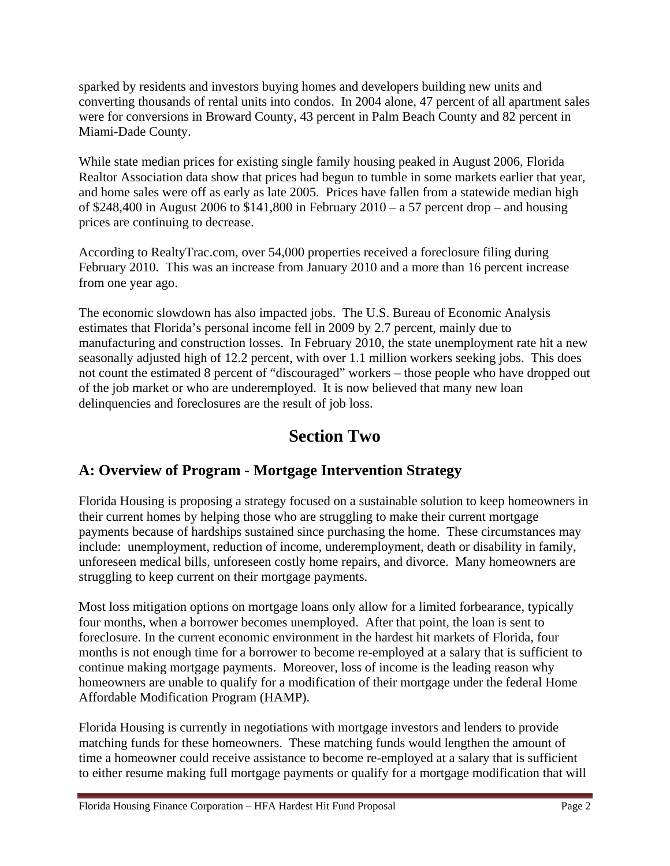sparked by residents and investors buying homes and developers building new units and converting thousands of rental units into condos. In 2004 alone, 47 percent of all apartment sales were for conversions in Broward County, 43 percent in Palm Beach County and 82 percent in Miami-Dade County.

While state median prices for existing single family housing peaked in August 2006, Florida Realtor Association data show that prices had begun to tumble in some markets earlier that year, and home sales were off as early as late 2005. Prices have fallen from a statewide median high of \$248,400 in August 2006 to \$141,800 in February  $2010 - a 57$  percent drop – and housing prices are continuing to decrease.

According to RealtyTrac.com, over 54,000 properties received a foreclosure filing during February 2010. This was an increase from January 2010 and a more than 16 percent increase from one year ago.

The economic slowdown has also impacted jobs. The U.S. Bureau of Economic Analysis estimates that Florida's personal income fell in 2009 by 2.7 percent, mainly due to manufacturing and construction losses. In February 2010, the state unemployment rate hit a new seasonally adjusted high of 12.2 percent, with over 1.1 million workers seeking jobs. This does not count the estimated 8 percent of "discouraged" workers – those people who have dropped out of the job market or who are underemployed. It is now believed that many new loan delinquencies and foreclosures are the result of job loss.

# **Section Two**

## **A: Overview of Program - Mortgage Intervention Strategy**

Florida Housing is proposing a strategy focused on a sustainable solution to keep homeowners in their current homes by helping those who are struggling to make their current mortgage payments because of hardships sustained since purchasing the home. These circumstances may include: unemployment, reduction of income, underemployment, death or disability in family, unforeseen medical bills, unforeseen costly home repairs, and divorce. Many homeowners are struggling to keep current on their mortgage payments.

Most loss mitigation options on mortgage loans only allow for a limited forbearance, typically four months, when a borrower becomes unemployed. After that point, the loan is sent to foreclosure. In the current economic environment in the hardest hit markets of Florida, four months is not enough time for a borrower to become re-employed at a salary that is sufficient to continue making mortgage payments. Moreover, loss of income is the leading reason why homeowners are unable to qualify for a modification of their mortgage under the federal Home Affordable Modification Program (HAMP).

Florida Housing is currently in negotiations with mortgage investors and lenders to provide matching funds for these homeowners. These matching funds would lengthen the amount of time a homeowner could receive assistance to become re-employed at a salary that is sufficient to either resume making full mortgage payments or qualify for a mortgage modification that will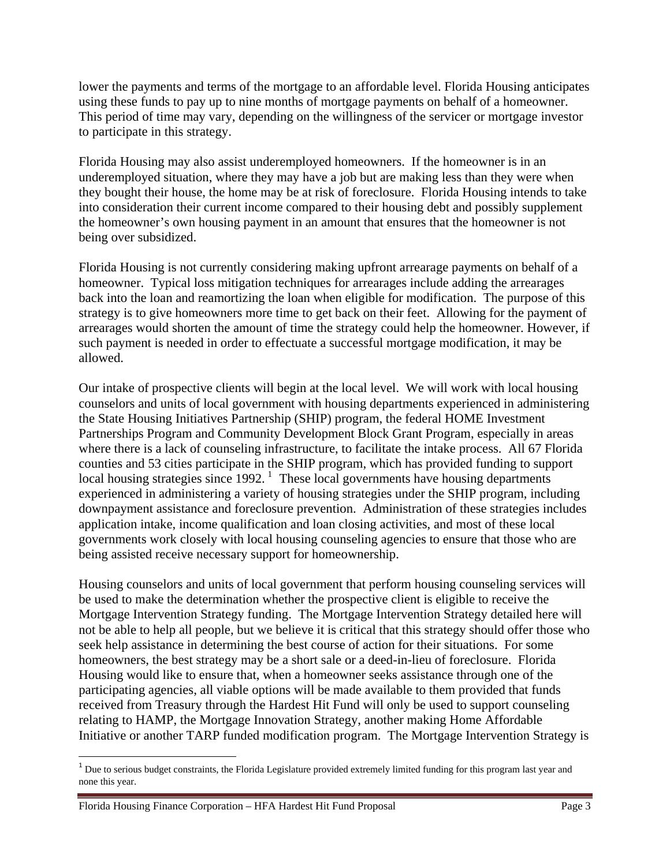lower the payments and terms of the mortgage to an affordable level. Florida Housing anticipates using these funds to pay up to nine months of mortgage payments on behalf of a homeowner. This period of time may vary, depending on the willingness of the servicer or mortgage investor to participate in this strategy.

Florida Housing may also assist underemployed homeowners. If the homeowner is in an underemployed situation, where they may have a job but are making less than they were when they bought their house, the home may be at risk of foreclosure. Florida Housing intends to take into consideration their current income compared to their housing debt and possibly supplement the homeowner's own housing payment in an amount that ensures that the homeowner is not being over subsidized.

Florida Housing is not currently considering making upfront arrearage payments on behalf of a homeowner. Typical loss mitigation techniques for arrearages include adding the arrearages back into the loan and reamortizing the loan when eligible for modification. The purpose of this strategy is to give homeowners more time to get back on their feet. Allowing for the payment of arrearages would shorten the amount of time the strategy could help the homeowner. However, if such payment is needed in order to effectuate a successful mortgage modification, it may be allowed.

Our intake of prospective clients will begin at the local level. We will work with local housing counselors and units of local government with housing departments experienced in administering the State Housing Initiatives Partnership (SHIP) program, the federal HOME Investment Partnerships Program and Community Development Block Grant Program, especially in areas where there is a lack of counseling infrastructure, to facilitate the intake process. All 67 Florida counties and 53 cities participate in the SHIP program, which has provided funding to support local housing strategies since  $1992$  $1992$ .<sup>1</sup> These local governments have housing departments experienced in administering a variety of housing strategies under the SHIP program, including downpayment assistance and foreclosure prevention. Administration of these strategies includes application intake, income qualification and loan closing activities, and most of these local governments work closely with local housing counseling agencies to ensure that those who are being assisted receive necessary support for homeownership.

Housing counselors and units of local government that perform housing counseling services will be used to make the determination whether the prospective client is eligible to receive the Mortgage Intervention Strategy funding. The Mortgage Intervention Strategy detailed here will not be able to help all people, but we believe it is critical that this strategy should offer those who seek help assistance in determining the best course of action for their situations. For some homeowners, the best strategy may be a short sale or a deed-in-lieu of foreclosure. Florida Housing would like to ensure that, when a homeowner seeks assistance through one of the participating agencies, all viable options will be made available to them provided that funds received from Treasury through the Hardest Hit Fund will only be used to support counseling relating to HAMP, the Mortgage Innovation Strategy, another making Home Affordable Initiative or another TARP funded modification program. The Mortgage Intervention Strategy is

<span id="page-2-0"></span> $1$  Due to serious budget constraints, the Florida Legislature provided extremely limited funding for this program last year and none this year.

Florida Housing Finance Corporation – HFA Hardest Hit Fund Proposal Page 3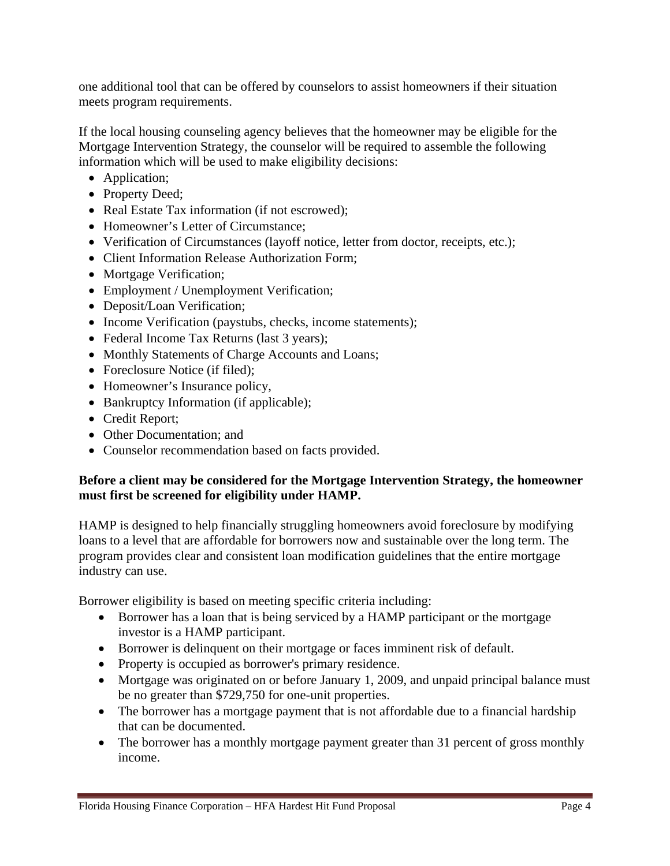one additional tool that can be offered by counselors to assist homeowners if their situation meets program requirements.

If the local housing counseling agency believes that the homeowner may be eligible for the Mortgage Intervention Strategy, the counselor will be required to assemble the following information which will be used to make eligibility decisions:

- Application;
- Property Deed;
- Real Estate Tax information (if not escrowed);
- Homeowner's Letter of Circumstance;
- Verification of Circumstances (layoff notice, letter from doctor, receipts, etc.);
- Client Information Release Authorization Form;
- Mortgage Verification;
- Employment / Unemployment Verification;
- Deposit/Loan Verification;
- Income Verification (paystubs, checks, income statements);
- Federal Income Tax Returns (last 3 years);
- Monthly Statements of Charge Accounts and Loans;
- Foreclosure Notice (if filed);
- Homeowner's Insurance policy,
- Bankruptcy Information (if applicable);
- Credit Report;
- Other Documentation; and
- Counselor recommendation based on facts provided.

#### **Before a client may be considered for the Mortgage Intervention Strategy, the homeowner must first be screened for eligibility under HAMP.**

HAMP is designed to help financially struggling homeowners avoid foreclosure by modifying loans to a level that are affordable for borrowers now and sustainable over the long term. The program provides clear and consistent loan modification guidelines that the entire mortgage industry can use.

Borrower eligibility is based on meeting specific criteria including:

- Borrower has a loan that is being serviced by a HAMP participant or the mortgage investor is a HAMP participant.
- Borrower is delinquent on their mortgage or faces imminent risk of default.
- Property is occupied as borrower's primary residence.
- Mortgage was originated on or before January 1, 2009, and unpaid principal balance must be no greater than \$729,750 for one-unit properties.
- The borrower has a mortgage payment that is not affordable due to a financial hardship that can be documented.
- The borrower has a monthly mortgage payment greater than 31 percent of gross monthly income.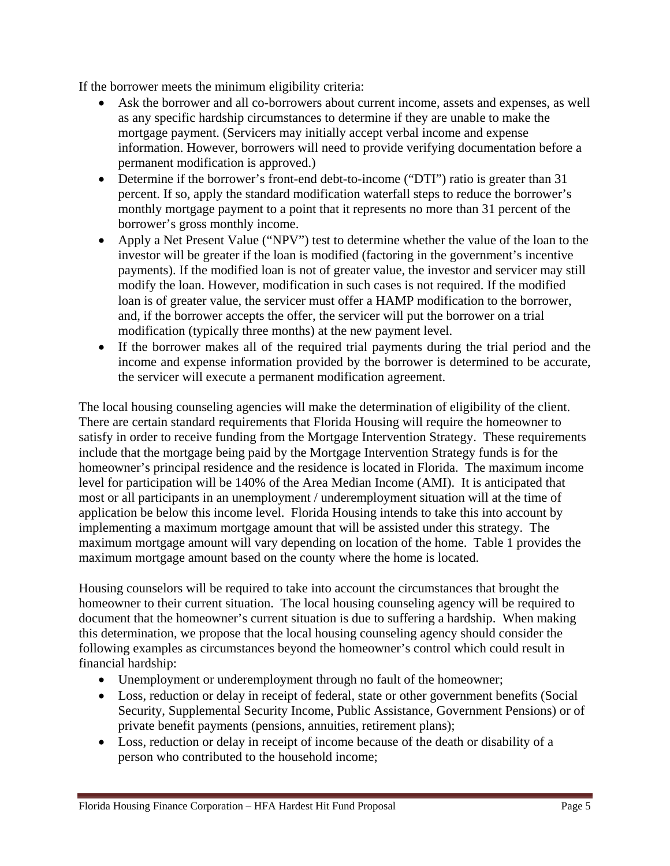If the borrower meets the minimum eligibility criteria:

- Ask the borrower and all co-borrowers about current income, assets and expenses, as well as any specific hardship circumstances to determine if they are unable to make the mortgage payment. (Servicers may initially accept verbal income and expense information. However, borrowers will need to provide verifying documentation before a permanent modification is approved.)
- Determine if the borrower's front-end debt-to-income ("DTI") ratio is greater than 31 percent. If so, apply the standard modification waterfall steps to reduce the borrower's monthly mortgage payment to a point that it represents no more than 31 percent of the borrower's gross monthly income.
- Apply a Net Present Value ("NPV") test to determine whether the value of the loan to the investor will be greater if the loan is modified (factoring in the government's incentive payments). If the modified loan is not of greater value, the investor and servicer may still modify the loan. However, modification in such cases is not required. If the modified loan is of greater value, the servicer must offer a HAMP modification to the borrower, and, if the borrower accepts the offer, the servicer will put the borrower on a trial modification (typically three months) at the new payment level.
- If the borrower makes all of the required trial payments during the trial period and the income and expense information provided by the borrower is determined to be accurate, the servicer will execute a permanent modification agreement.

The local housing counseling agencies will make the determination of eligibility of the client. There are certain standard requirements that Florida Housing will require the homeowner to satisfy in order to receive funding from the Mortgage Intervention Strategy. These requirements include that the mortgage being paid by the Mortgage Intervention Strategy funds is for the homeowner's principal residence and the residence is located in Florida. The maximum income level for participation will be 140% of the Area Median Income (AMI). It is anticipated that most or all participants in an unemployment / underemployment situation will at the time of application be below this income level. Florida Housing intends to take this into account by implementing a maximum mortgage amount that will be assisted under this strategy. The maximum mortgage amount will vary depending on location of the home. Table 1 provides the maximum mortgage amount based on the county where the home is located.

Housing counselors will be required to take into account the circumstances that brought the homeowner to their current situation. The local housing counseling agency will be required to document that the homeowner's current situation is due to suffering a hardship. When making this determination, we propose that the local housing counseling agency should consider the following examples as circumstances beyond the homeowner's control which could result in financial hardship:

- Unemployment or underemployment through no fault of the homeowner;
- Loss, reduction or delay in receipt of federal, state or other government benefits (Social Security, Supplemental Security Income, Public Assistance, Government Pensions) or of private benefit payments (pensions, annuities, retirement plans);
- Loss, reduction or delay in receipt of income because of the death or disability of a person who contributed to the household income;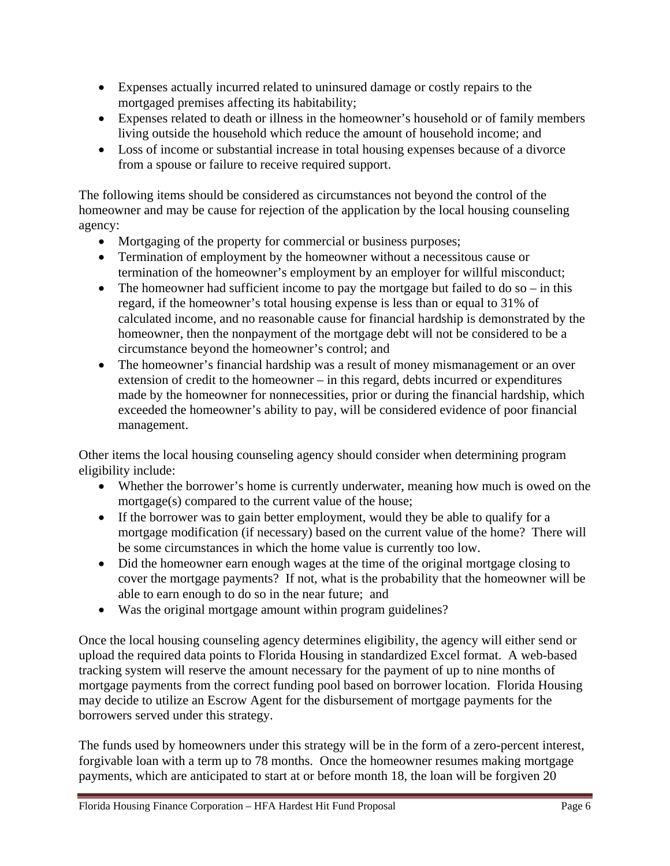- Expenses actually incurred related to uninsured damage or costly repairs to the mortgaged premises affecting its habitability;
- Expenses related to death or illness in the homeowner's household or of family members living outside the household which reduce the amount of household income; and
- Loss of income or substantial increase in total housing expenses because of a divorce from a spouse or failure to receive required support.

The following items should be considered as circumstances not beyond the control of the homeowner and may be cause for rejection of the application by the local housing counseling agency:

- Mortgaging of the property for commercial or business purposes;
- Termination of employment by the homeowner without a necessitous cause or termination of the homeowner's employment by an employer for willful misconduct;
- The homeowner had sufficient income to pay the mortgage but failed to do so in this regard, if the homeowner's total housing expense is less than or equal to 31% of calculated income, and no reasonable cause for financial hardship is demonstrated by the homeowner, then the nonpayment of the mortgage debt will not be considered to be a circumstance beyond the homeowner's control; and
- The homeowner's financial hardship was a result of money mismanagement or an over extension of credit to the homeowner – in this regard, debts incurred or expenditures made by the homeowner for nonnecessities, prior or during the financial hardship, which exceeded the homeowner's ability to pay, will be considered evidence of poor financial management.

Other items the local housing counseling agency should consider when determining program eligibility include:

- Whether the borrower's home is currently underwater, meaning how much is owed on the mortgage(s) compared to the current value of the house;
- If the borrower was to gain better employment, would they be able to qualify for a mortgage modification (if necessary) based on the current value of the home? There will be some circumstances in which the home value is currently too low.
- Did the homeowner earn enough wages at the time of the original mortgage closing to cover the mortgage payments? If not, what is the probability that the homeowner will be able to earn enough to do so in the near future; and
- Was the original mortgage amount within program guidelines?

Once the local housing counseling agency determines eligibility, the agency will either send or upload the required data points to Florida Housing in standardized Excel format. A web-based tracking system will reserve the amount necessary for the payment of up to nine months of mortgage payments from the correct funding pool based on borrower location. Florida Housing may decide to utilize an Escrow Agent for the disbursement of mortgage payments for the borrowers served under this strategy.

The funds used by homeowners under this strategy will be in the form of a zero-percent interest, forgivable loan with a term up to 78 months. Once the homeowner resumes making mortgage payments, which are anticipated to start at or before month 18, the loan will be forgiven 20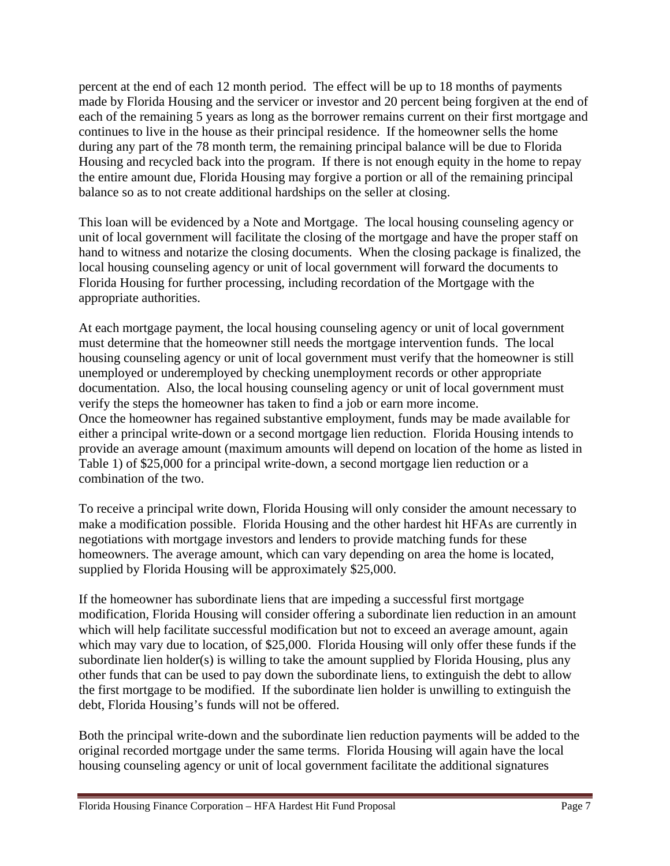percent at the end of each 12 month period. The effect will be up to 18 months of payments made by Florida Housing and the servicer or investor and 20 percent being forgiven at the end of each of the remaining 5 years as long as the borrower remains current on their first mortgage and continues to live in the house as their principal residence. If the homeowner sells the home during any part of the 78 month term, the remaining principal balance will be due to Florida Housing and recycled back into the program. If there is not enough equity in the home to repay the entire amount due, Florida Housing may forgive a portion or all of the remaining principal balance so as to not create additional hardships on the seller at closing.

This loan will be evidenced by a Note and Mortgage. The local housing counseling agency or unit of local government will facilitate the closing of the mortgage and have the proper staff on hand to witness and notarize the closing documents. When the closing package is finalized, the local housing counseling agency or unit of local government will forward the documents to Florida Housing for further processing, including recordation of the Mortgage with the appropriate authorities.

At each mortgage payment, the local housing counseling agency or unit of local government must determine that the homeowner still needs the mortgage intervention funds. The local housing counseling agency or unit of local government must verify that the homeowner is still unemployed or underemployed by checking unemployment records or other appropriate documentation. Also, the local housing counseling agency or unit of local government must verify the steps the homeowner has taken to find a job or earn more income. Once the homeowner has regained substantive employment, funds may be made available for either a principal write-down or a second mortgage lien reduction. Florida Housing intends to provide an average amount (maximum amounts will depend on location of the home as listed in Table 1) of \$25,000 for a principal write-down, a second mortgage lien reduction or a combination of the two.

To receive a principal write down, Florida Housing will only consider the amount necessary to make a modification possible. Florida Housing and the other hardest hit HFAs are currently in negotiations with mortgage investors and lenders to provide matching funds for these homeowners. The average amount, which can vary depending on area the home is located, supplied by Florida Housing will be approximately \$25,000.

If the homeowner has subordinate liens that are impeding a successful first mortgage modification, Florida Housing will consider offering a subordinate lien reduction in an amount which will help facilitate successful modification but not to exceed an average amount, again which may vary due to location, of \$25,000. Florida Housing will only offer these funds if the subordinate lien holder(s) is willing to take the amount supplied by Florida Housing, plus any other funds that can be used to pay down the subordinate liens, to extinguish the debt to allow the first mortgage to be modified. If the subordinate lien holder is unwilling to extinguish the debt, Florida Housing's funds will not be offered.

Both the principal write-down and the subordinate lien reduction payments will be added to the original recorded mortgage under the same terms. Florida Housing will again have the local housing counseling agency or unit of local government facilitate the additional signatures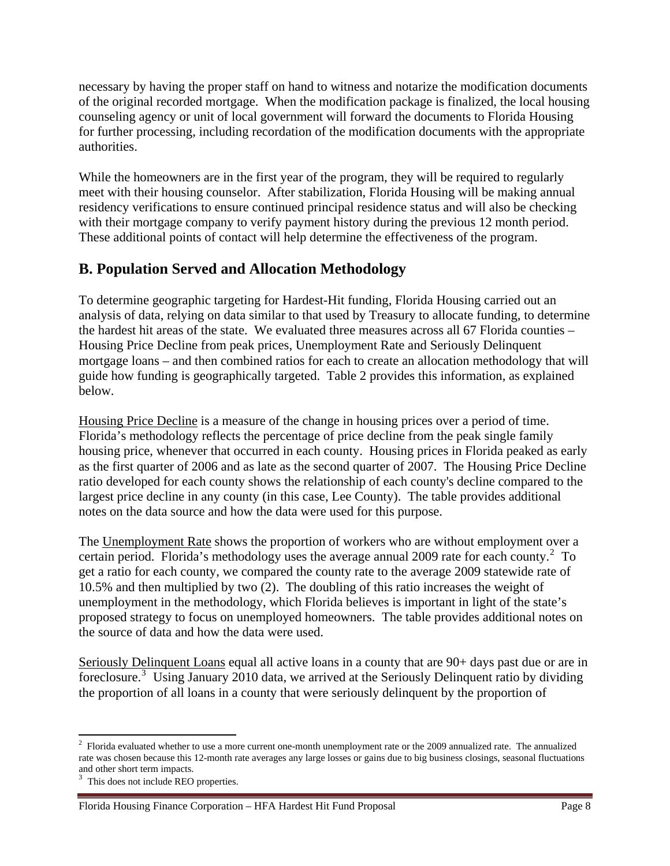necessary by having the proper staff on hand to witness and notarize the modification documents of the original recorded mortgage. When the modification package is finalized, the local housing counseling agency or unit of local government will forward the documents to Florida Housing for further processing, including recordation of the modification documents with the appropriate authorities.

While the homeowners are in the first year of the program, they will be required to regularly meet with their housing counselor. After stabilization, Florida Housing will be making annual residency verifications to ensure continued principal residence status and will also be checking with their mortgage company to verify payment history during the previous 12 month period. These additional points of contact will help determine the effectiveness of the program.

## **B. Population Served and Allocation Methodology**

To determine geographic targeting for Hardest-Hit funding, Florida Housing carried out an analysis of data, relying on data similar to that used by Treasury to allocate funding, to determine the hardest hit areas of the state. We evaluated three measures across all 67 Florida counties – Housing Price Decline from peak prices, Unemployment Rate and Seriously Delinquent mortgage loans – and then combined ratios for each to create an allocation methodology that will guide how funding is geographically targeted. Table 2 provides this information, as explained below.

Housing Price Decline is a measure of the change in housing prices over a period of time. Florida's methodology reflects the percentage of price decline from the peak single family housing price, whenever that occurred in each county. Housing prices in Florida peaked as early as the first quarter of 2006 and as late as the second quarter of 2007. The Housing Price Decline ratio developed for each county shows the relationship of each county's decline compared to the largest price decline in any county (in this case, Lee County). The table provides additional notes on the data source and how the data were used for this purpose.

The Unemployment Rate shows the proportion of workers who are without employment over a certain period. Florida's methodology uses the average annual [2](#page-7-0)009 rate for each county.<sup>2</sup> To get a ratio for each county, we compared the county rate to the average 2009 statewide rate of 10.5% and then multiplied by two (2). The doubling of this ratio increases the weight of unemployment in the methodology, which Florida believes is important in light of the state's proposed strategy to focus on unemployed homeowners. The table provides additional notes on the source of data and how the data were used.

Seriously Delinquent Loans equal all active loans in a county that are 90+ days past due or are in foreclosure.[3](#page-7-1) Using January 2010 data, we arrived at the Seriously Delinquent ratio by dividing the proportion of all loans in a county that were seriously delinquent by the proportion of

<span id="page-7-0"></span><sup>&</sup>lt;sup>2</sup> Florida evaluated whether to use a more current one-month unemployment rate or the 2009 annualized rate. The annualized rate was chosen because this 12-month rate averages any large losses or gains due to big business closings, seasonal fluctuations and other short term impacts.

<span id="page-7-1"></span> $3$  This does not include REO properties.

Florida Housing Finance Corporation – HFA Hardest Hit Fund Proposal Page 8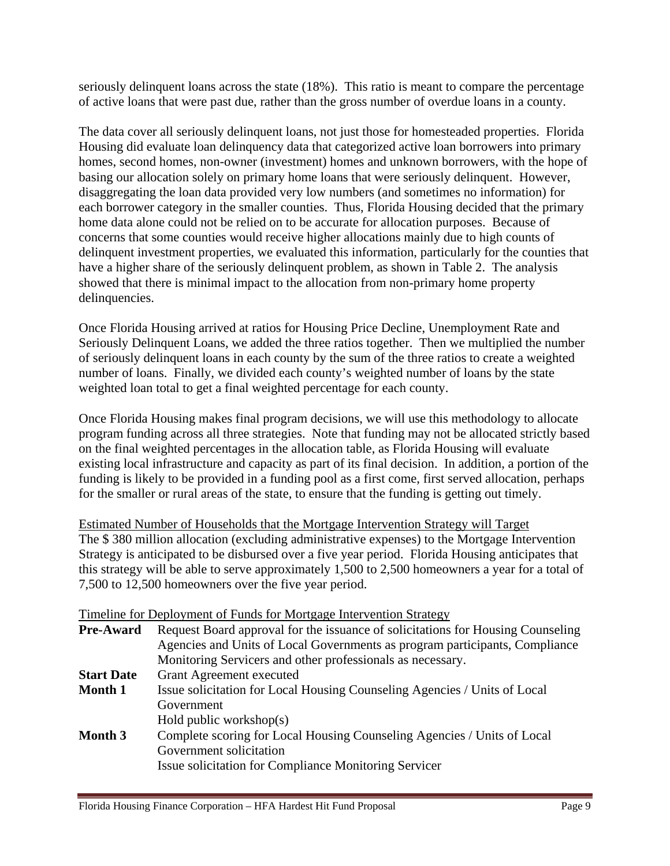seriously delinquent loans across the state (18%). This ratio is meant to compare the percentage of active loans that were past due, rather than the gross number of overdue loans in a county.

The data cover all seriously delinquent loans, not just those for homesteaded properties. Florida Housing did evaluate loan delinquency data that categorized active loan borrowers into primary homes, second homes, non-owner (investment) homes and unknown borrowers, with the hope of basing our allocation solely on primary home loans that were seriously delinquent. However, disaggregating the loan data provided very low numbers (and sometimes no information) for each borrower category in the smaller counties. Thus, Florida Housing decided that the primary home data alone could not be relied on to be accurate for allocation purposes. Because of concerns that some counties would receive higher allocations mainly due to high counts of delinquent investment properties, we evaluated this information, particularly for the counties that have a higher share of the seriously delinquent problem, as shown in Table 2. The analysis showed that there is minimal impact to the allocation from non-primary home property delinquencies.

Once Florida Housing arrived at ratios for Housing Price Decline, Unemployment Rate and Seriously Delinquent Loans, we added the three ratios together. Then we multiplied the number of seriously delinquent loans in each county by the sum of the three ratios to create a weighted number of loans. Finally, we divided each county's weighted number of loans by the state weighted loan total to get a final weighted percentage for each county.

Once Florida Housing makes final program decisions, we will use this methodology to allocate program funding across all three strategies. Note that funding may not be allocated strictly based on the final weighted percentages in the allocation table, as Florida Housing will evaluate existing local infrastructure and capacity as part of its final decision. In addition, a portion of the funding is likely to be provided in a funding pool as a first come, first served allocation, perhaps for the smaller or rural areas of the state, to ensure that the funding is getting out timely.

Estimated Number of Households that the Mortgage Intervention Strategy will Target The \$ 380 million allocation (excluding administrative expenses) to the Mortgage Intervention Strategy is anticipated to be disbursed over a five year period. Florida Housing anticipates that this strategy will be able to serve approximately 1,500 to 2,500 homeowners a year for a total of 7,500 to 12,500 homeowners over the five year period.

|                   | Timeline for Deployment of Funds for Mortgage Intervention Strategy             |
|-------------------|---------------------------------------------------------------------------------|
| <b>Pre-Award</b>  | Request Board approval for the issuance of solicitations for Housing Counseling |
|                   | Agencies and Units of Local Governments as program participants, Compliance     |
|                   | Monitoring Servicers and other professionals as necessary.                      |
| <b>Start Date</b> | <b>Grant Agreement executed</b>                                                 |
| <b>Month 1</b>    | Issue solicitation for Local Housing Counseling Agencies / Units of Local       |
|                   | Government                                                                      |
|                   | Hold public workshop(s)                                                         |
| Month 3           | Complete scoring for Local Housing Counseling Agencies / Units of Local         |
|                   | Government solicitation                                                         |
|                   | <b>Issue solicitation for Compliance Monitoring Servicer</b>                    |
|                   |                                                                                 |

#### Timeline for Deployment of Funds for Mortgage Intervention Strategy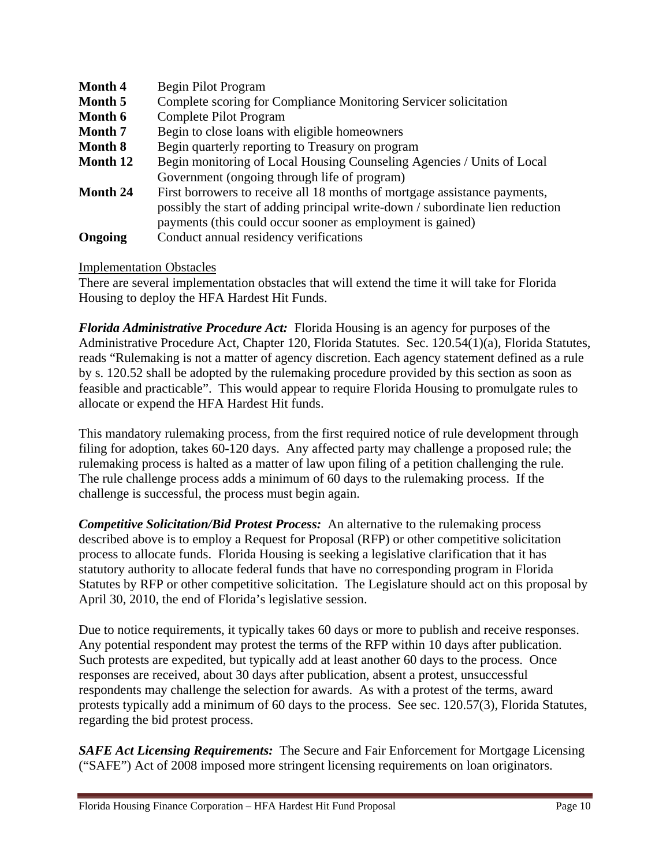| <b>Month 4</b> | <b>Begin Pilot Program</b>                                                     |
|----------------|--------------------------------------------------------------------------------|
| Month 5        | Complete scoring for Compliance Monitoring Servicer solicitation               |
| Month 6        | <b>Complete Pilot Program</b>                                                  |
| <b>Month</b> 7 | Begin to close loans with eligible homeowners                                  |
| <b>Month 8</b> | Begin quarterly reporting to Treasury on program                               |
| Month 12       | Begin monitoring of Local Housing Counseling Agencies / Units of Local         |
|                | Government (ongoing through life of program)                                   |
| Month 24       | First borrowers to receive all 18 months of mortgage assistance payments,      |
|                | possibly the start of adding principal write-down / subordinate lien reduction |
|                | payments (this could occur sooner as employment is gained)                     |
| Ongoing        | Conduct annual residency verifications                                         |

#### Implementation Obstacles

There are several implementation obstacles that will extend the time it will take for Florida Housing to deploy the HFA Hardest Hit Funds.

*Florida Administrative Procedure Act:* Florida Housing is an agency for purposes of the Administrative Procedure Act, Chapter 120, Florida Statutes. Sec. 120.54(1)(a), Florida Statutes, reads "Rulemaking is not a matter of agency discretion. Each agency statement defined as a rule by s. 120.52 shall be adopted by the rulemaking procedure provided by this section as soon as feasible and practicable". This would appear to require Florida Housing to promulgate rules to allocate or expend the HFA Hardest Hit funds.

This mandatory rulemaking process, from the first required notice of rule development through filing for adoption, takes 60-120 days. Any affected party may challenge a proposed rule; the rulemaking process is halted as a matter of law upon filing of a petition challenging the rule. The rule challenge process adds a minimum of 60 days to the rulemaking process. If the challenge is successful, the process must begin again.

*Competitive Solicitation/Bid Protest Process:*An alternative to the rulemaking process described above is to employ a Request for Proposal (RFP) or other competitive solicitation process to allocate funds. Florida Housing is seeking a legislative clarification that it has statutory authority to allocate federal funds that have no corresponding program in Florida Statutes by RFP or other competitive solicitation. The Legislature should act on this proposal by April 30, 2010, the end of Florida's legislative session.

Due to notice requirements, it typically takes 60 days or more to publish and receive responses. Any potential respondent may protest the terms of the RFP within 10 days after publication. Such protests are expedited, but typically add at least another 60 days to the process. Once responses are received, about 30 days after publication, absent a protest, unsuccessful respondents may challenge the selection for awards. As with a protest of the terms, award protests typically add a minimum of 60 days to the process. See sec. 120.57(3), Florida Statutes, regarding the bid protest process.

*SAFE Act Licensing Requirements:* The Secure and Fair Enforcement for Mortgage Licensing ("SAFE") Act of 2008 imposed more stringent licensing requirements on loan originators.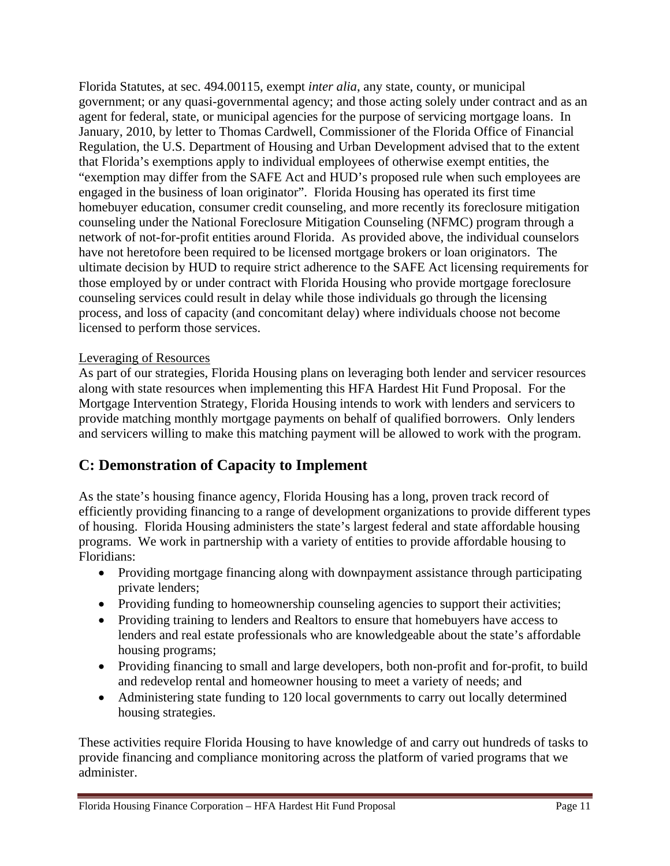Florida Statutes, at sec. 494.00115, exempt *inter alia*, any state, county, or municipal government; or any quasi-governmental agency; and those acting solely under contract and as an agent for federal, state, or municipal agencies for the purpose of servicing mortgage loans. In January, 2010, by letter to Thomas Cardwell, Commissioner of the Florida Office of Financial Regulation, the U.S. Department of Housing and Urban Development advised that to the extent that Florida's exemptions apply to individual employees of otherwise exempt entities, the "exemption may differ from the SAFE Act and HUD's proposed rule when such employees are engaged in the business of loan originator". Florida Housing has operated its first time homebuyer education, consumer credit counseling, and more recently its foreclosure mitigation counseling under the National Foreclosure Mitigation Counseling (NFMC) program through a network of not-for-profit entities around Florida. As provided above, the individual counselors have not heretofore been required to be licensed mortgage brokers or loan originators. The ultimate decision by HUD to require strict adherence to the SAFE Act licensing requirements for those employed by or under contract with Florida Housing who provide mortgage foreclosure counseling services could result in delay while those individuals go through the licensing process, and loss of capacity (and concomitant delay) where individuals choose not become licensed to perform those services.

#### Leveraging of Resources

As part of our strategies, Florida Housing plans on leveraging both lender and servicer resources along with state resources when implementing this HFA Hardest Hit Fund Proposal. For the Mortgage Intervention Strategy, Florida Housing intends to work with lenders and servicers to provide matching monthly mortgage payments on behalf of qualified borrowers. Only lenders and servicers willing to make this matching payment will be allowed to work with the program.

## **C: Demonstration of Capacity to Implement**

As the state's housing finance agency, Florida Housing has a long, proven track record of efficiently providing financing to a range of development organizations to provide different types of housing. Florida Housing administers the state's largest federal and state affordable housing programs. We work in partnership with a variety of entities to provide affordable housing to Floridians:

- Providing mortgage financing along with downpayment assistance through participating private lenders;
- Providing funding to homeownership counseling agencies to support their activities;
- Providing training to lenders and Realtors to ensure that homebuyers have access to lenders and real estate professionals who are knowledgeable about the state's affordable housing programs;
- Providing financing to small and large developers, both non-profit and for-profit, to build and redevelop rental and homeowner housing to meet a variety of needs; and
- Administering state funding to 120 local governments to carry out locally determined housing strategies.

These activities require Florida Housing to have knowledge of and carry out hundreds of tasks to provide financing and compliance monitoring across the platform of varied programs that we administer.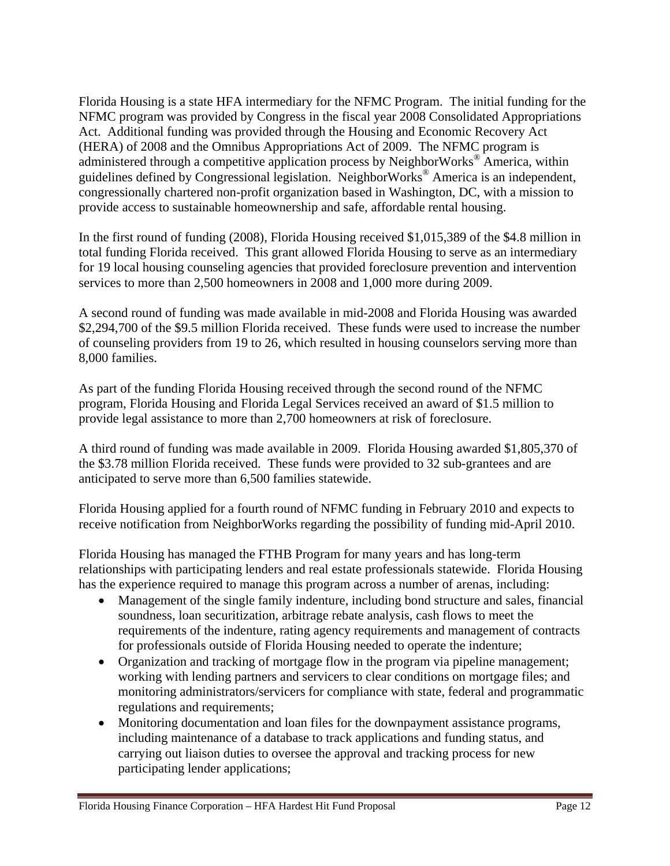Florida Housing is a state HFA intermediary for the NFMC Program. The initial funding for the NFMC program was provided by Congress in the fiscal year 2008 Consolidated Appropriations Act. Additional funding was provided through the Housing and Economic Recovery Act (HERA) of 2008 and the Omnibus Appropriations Act of 2009. The NFMC program is administered through a competitive application process by NeighborWorks® America, within guidelines defined by Congressional legislation. NeighborWorks® America is an independent, congressionally chartered non-profit organization based in Washington, DC, with a mission to provide access to sustainable homeownership and safe, affordable rental housing.

In the first round of funding (2008), Florida Housing received \$1,015,389 of the \$4.8 million in total funding Florida received. This grant allowed Florida Housing to serve as an intermediary for 19 local housing counseling agencies that provided foreclosure prevention and intervention services to more than 2,500 homeowners in 2008 and 1,000 more during 2009.

A second round of funding was made available in mid-2008 and Florida Housing was awarded \$2,294,700 of the \$9.5 million Florida received. These funds were used to increase the number of counseling providers from 19 to 26, which resulted in housing counselors serving more than 8,000 families.

As part of the funding Florida Housing received through the second round of the NFMC program, Florida Housing and Florida Legal Services received an award of \$1.5 million to provide legal assistance to more than 2,700 homeowners at risk of foreclosure.

A third round of funding was made available in 2009. Florida Housing awarded \$1,805,370 of the \$3.78 million Florida received. These funds were provided to 32 sub-grantees and are anticipated to serve more than 6,500 families statewide.

Florida Housing applied for a fourth round of NFMC funding in February 2010 and expects to receive notification from NeighborWorks regarding the possibility of funding mid-April 2010.

Florida Housing has managed the FTHB Program for many years and has long-term relationships with participating lenders and real estate professionals statewide. Florida Housing has the experience required to manage this program across a number of arenas, including:

- Management of the single family indenture, including bond structure and sales, financial soundness, loan securitization, arbitrage rebate analysis, cash flows to meet the requirements of the indenture, rating agency requirements and management of contracts for professionals outside of Florida Housing needed to operate the indenture;
- Organization and tracking of mortgage flow in the program via pipeline management; working with lending partners and servicers to clear conditions on mortgage files; and monitoring administrators/servicers for compliance with state, federal and programmatic regulations and requirements;
- Monitoring documentation and loan files for the downpayment assistance programs, including maintenance of a database to track applications and funding status, and carrying out liaison duties to oversee the approval and tracking process for new participating lender applications;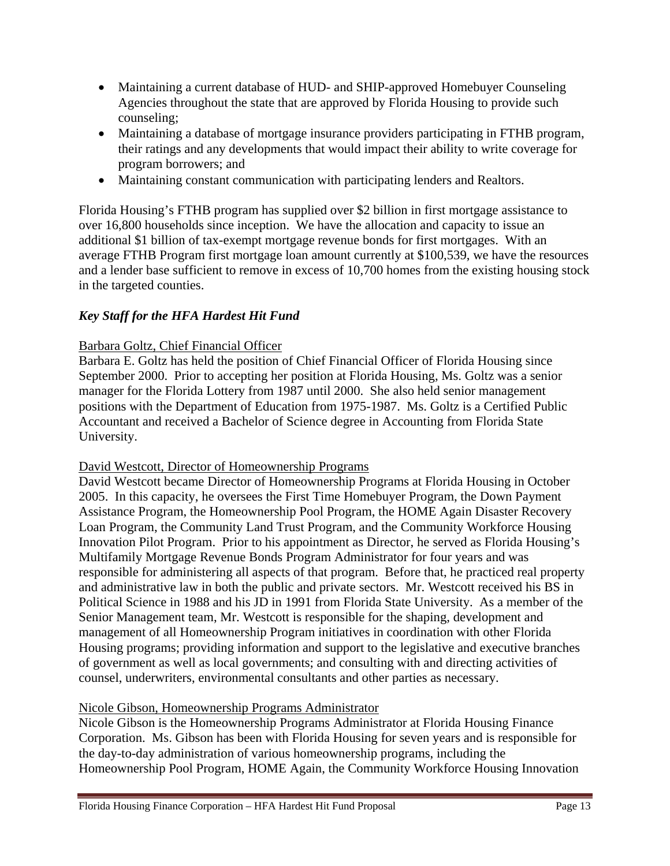- Maintaining a current database of HUD- and SHIP-approved Homebuyer Counseling Agencies throughout the state that are approved by Florida Housing to provide such counseling;
- Maintaining a database of mortgage insurance providers participating in FTHB program, their ratings and any developments that would impact their ability to write coverage for program borrowers; and
- Maintaining constant communication with participating lenders and Realtors.

Florida Housing's FTHB program has supplied over \$2 billion in first mortgage assistance to over 16,800 households since inception. We have the allocation and capacity to issue an additional \$1 billion of tax-exempt mortgage revenue bonds for first mortgages. With an average FTHB Program first mortgage loan amount currently at \$100,539, we have the resources and a lender base sufficient to remove in excess of 10,700 homes from the existing housing stock in the targeted counties.

### *Key Staff for the HFA Hardest Hit Fund*

### Barbara Goltz, Chief Financial Officer

Barbara E. Goltz has held the position of Chief Financial Officer of Florida Housing since September 2000. Prior to accepting her position at Florida Housing, Ms. Goltz was a senior manager for the Florida Lottery from 1987 until 2000. She also held senior management positions with the Department of Education from 1975-1987. Ms. Goltz is a Certified Public Accountant and received a Bachelor of Science degree in Accounting from Florida State University.

### David Westcott, Director of Homeownership Programs

David Westcott became Director of Homeownership Programs at Florida Housing in October 2005. In this capacity, he oversees the First Time Homebuyer Program, the Down Payment Assistance Program, the Homeownership Pool Program, the HOME Again Disaster Recovery Loan Program, the Community Land Trust Program, and the Community Workforce Housing Innovation Pilot Program. Prior to his appointment as Director, he served as Florida Housing's Multifamily Mortgage Revenue Bonds Program Administrator for four years and was responsible for administering all aspects of that program. Before that, he practiced real property and administrative law in both the public and private sectors. Mr. Westcott received his BS in Political Science in 1988 and his JD in 1991 from Florida State University. As a member of the Senior Management team, Mr. Westcott is responsible for the shaping, development and management of all Homeownership Program initiatives in coordination with other Florida Housing programs; providing information and support to the legislative and executive branches of government as well as local governments; and consulting with and directing activities of counsel, underwriters, environmental consultants and other parties as necessary.

### Nicole Gibson, Homeownership Programs Administrator

Nicole Gibson is the Homeownership Programs Administrator at Florida Housing Finance Corporation. Ms. Gibson has been with Florida Housing for seven years and is responsible for the day-to-day administration of various homeownership programs, including the Homeownership Pool Program, HOME Again, the Community Workforce Housing Innovation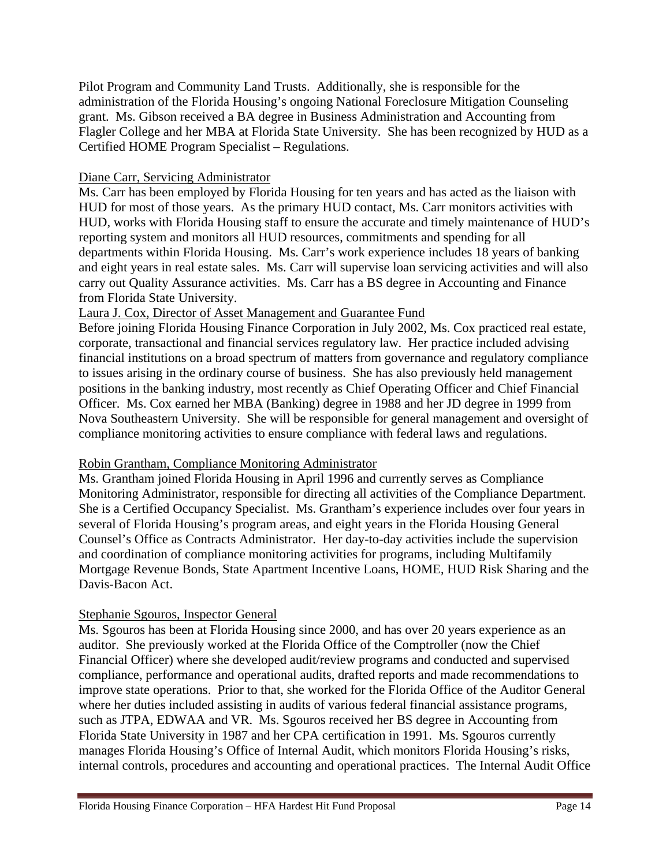Pilot Program and Community Land Trusts. Additionally, she is responsible for the administration of the Florida Housing's ongoing National Foreclosure Mitigation Counseling grant. Ms. Gibson received a BA degree in Business Administration and Accounting from Flagler College and her MBA at Florida State University. She has been recognized by HUD as a Certified HOME Program Specialist – Regulations.

#### Diane Carr, Servicing Administrator

Ms. Carr has been employed by Florida Housing for ten years and has acted as the liaison with HUD for most of those years. As the primary HUD contact, Ms. Carr monitors activities with HUD, works with Florida Housing staff to ensure the accurate and timely maintenance of HUD's reporting system and monitors all HUD resources, commitments and spending for all departments within Florida Housing. Ms. Carr's work experience includes 18 years of banking and eight years in real estate sales. Ms. Carr will supervise loan servicing activities and will also carry out Quality Assurance activities. Ms. Carr has a BS degree in Accounting and Finance from Florida State University.

#### Laura J. Cox, Director of Asset Management and Guarantee Fund

Before joining Florida Housing Finance Corporation in July 2002, Ms. Cox practiced real estate, corporate, transactional and financial services regulatory law. Her practice included advising financial institutions on a broad spectrum of matters from governance and regulatory compliance to issues arising in the ordinary course of business. She has also previously held management positions in the banking industry, most recently as Chief Operating Officer and Chief Financial Officer. Ms. Cox earned her MBA (Banking) degree in 1988 and her JD degree in 1999 from Nova Southeastern University. She will be responsible for general management and oversight of compliance monitoring activities to ensure compliance with federal laws and regulations.

#### Robin Grantham, Compliance Monitoring Administrator

Ms. Grantham joined Florida Housing in April 1996 and currently serves as Compliance Monitoring Administrator, responsible for directing all activities of the Compliance Department. She is a Certified Occupancy Specialist. Ms. Grantham's experience includes over four years in several of Florida Housing's program areas, and eight years in the Florida Housing General Counsel's Office as Contracts Administrator. Her day-to-day activities include the supervision and coordination of compliance monitoring activities for programs, including Multifamily Mortgage Revenue Bonds, State Apartment Incentive Loans, HOME, HUD Risk Sharing and the Davis-Bacon Act.

#### Stephanie Sgouros, Inspector General

Ms. Sgouros has been at Florida Housing since 2000, and has over 20 years experience as an auditor. She previously worked at the Florida Office of the Comptroller (now the Chief Financial Officer) where she developed audit/review programs and conducted and supervised compliance, performance and operational audits, drafted reports and made recommendations to improve state operations. Prior to that, she worked for the Florida Office of the Auditor General where her duties included assisting in audits of various federal financial assistance programs, such as JTPA, EDWAA and VR. Ms. Sgouros received her BS degree in Accounting from Florida State University in 1987 and her CPA certification in 1991. Ms. Sgouros currently manages Florida Housing's Office of Internal Audit, which monitors Florida Housing's risks, internal controls, procedures and accounting and operational practices. The Internal Audit Office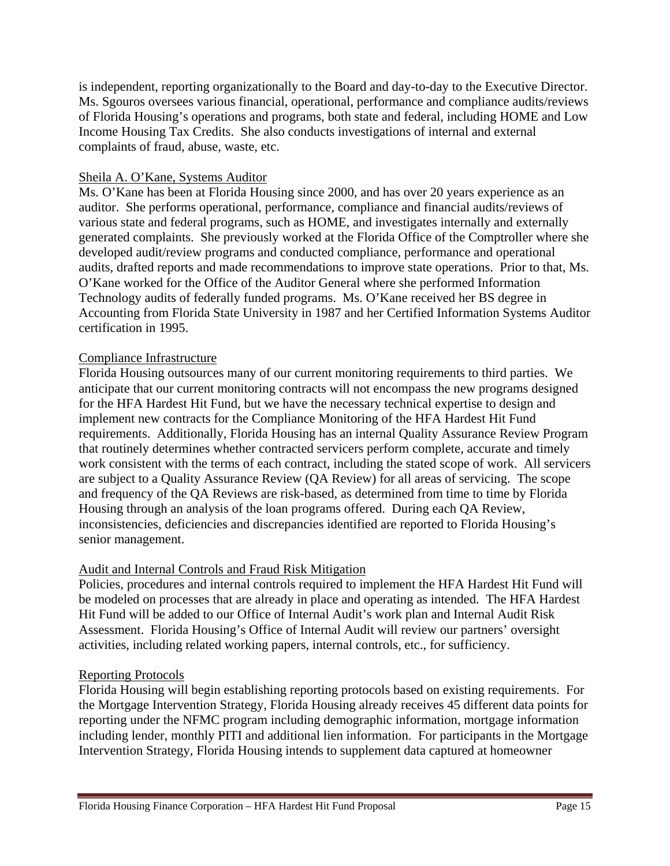is independent, reporting organizationally to the Board and day-to-day to the Executive Director. Ms. Sgouros oversees various financial, operational, performance and compliance audits/reviews of Florida Housing's operations and programs, both state and federal, including HOME and Low Income Housing Tax Credits. She also conducts investigations of internal and external complaints of fraud, abuse, waste, etc.

#### Sheila A. O'Kane, Systems Auditor

Ms. O'Kane has been at Florida Housing since 2000, and has over 20 years experience as an auditor. She performs operational, performance, compliance and financial audits/reviews of various state and federal programs, such as HOME, and investigates internally and externally generated complaints. She previously worked at the Florida Office of the Comptroller where she developed audit/review programs and conducted compliance, performance and operational audits, drafted reports and made recommendations to improve state operations. Prior to that, Ms. O'Kane worked for the Office of the Auditor General where she performed Information Technology audits of federally funded programs. Ms. O'Kane received her BS degree in Accounting from Florida State University in 1987 and her Certified Information Systems Auditor certification in 1995.

#### Compliance Infrastructure

Florida Housing outsources many of our current monitoring requirements to third parties. We anticipate that our current monitoring contracts will not encompass the new programs designed for the HFA Hardest Hit Fund, but we have the necessary technical expertise to design and implement new contracts for the Compliance Monitoring of the HFA Hardest Hit Fund requirements. Additionally, Florida Housing has an internal Quality Assurance Review Program that routinely determines whether contracted servicers perform complete, accurate and timely work consistent with the terms of each contract, including the stated scope of work. All servicers are subject to a Quality Assurance Review (QA Review) for all areas of servicing. The scope and frequency of the QA Reviews are risk-based, as determined from time to time by Florida Housing through an analysis of the loan programs offered. During each QA Review, inconsistencies, deficiencies and discrepancies identified are reported to Florida Housing's senior management.

#### Audit and Internal Controls and Fraud Risk Mitigation

Policies, procedures and internal controls required to implement the HFA Hardest Hit Fund will be modeled on processes that are already in place and operating as intended. The HFA Hardest Hit Fund will be added to our Office of Internal Audit's work plan and Internal Audit Risk Assessment. Florida Housing's Office of Internal Audit will review our partners' oversight activities, including related working papers, internal controls, etc., for sufficiency.

#### Reporting Protocols

Florida Housing will begin establishing reporting protocols based on existing requirements. For the Mortgage Intervention Strategy, Florida Housing already receives 45 different data points for reporting under the NFMC program including demographic information, mortgage information including lender, monthly PITI and additional lien information. For participants in the Mortgage Intervention Strategy, Florida Housing intends to supplement data captured at homeowner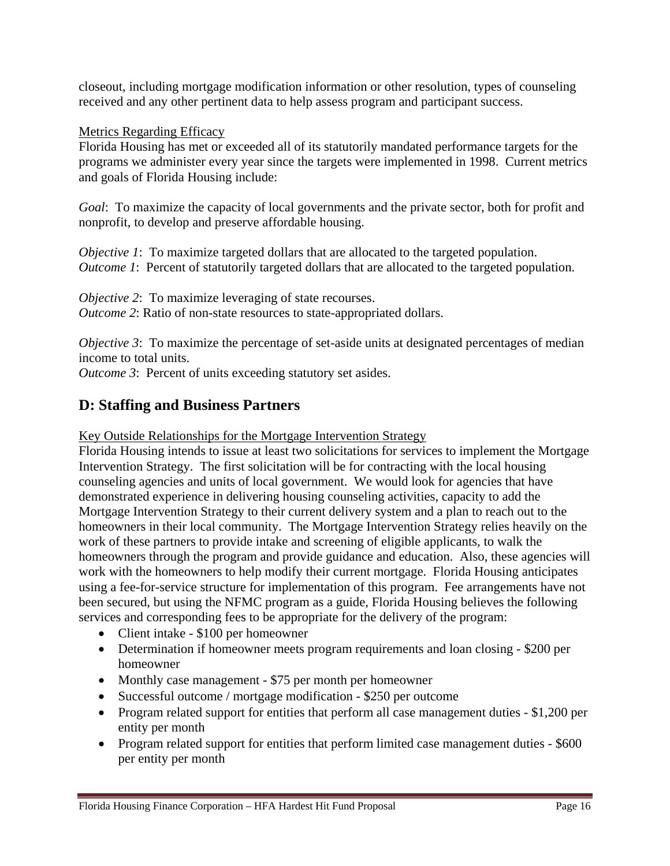closeout, including mortgage modification information or other resolution, types of counseling received and any other pertinent data to help assess program and participant success.

#### Metrics Regarding Efficacy

Florida Housing has met or exceeded all of its statutorily mandated performance targets for the programs we administer every year since the targets were implemented in 1998. Current metrics and goals of Florida Housing include:

*Goal*: To maximize the capacity of local governments and the private sector, both for profit and nonprofit, to develop and preserve affordable housing.

*Objective 1*: To maximize targeted dollars that are allocated to the targeted population. *Outcome 1*: Percent of statutorily targeted dollars that are allocated to the targeted population.

*Objective 2*: To maximize leveraging of state recourses. *Outcome 2*: Ratio of non-state resources to state-appropriated dollars.

*Objective 3*: To maximize the percentage of set-aside units at designated percentages of median income to total units.

*Outcome 3*: Percent of units exceeding statutory set asides.

## **D: Staffing and Business Partners**

Key Outside Relationships for the Mortgage Intervention Strategy

Florida Housing intends to issue at least two solicitations for services to implement the Mortgage Intervention Strategy. The first solicitation will be for contracting with the local housing counseling agencies and units of local government. We would look for agencies that have demonstrated experience in delivering housing counseling activities, capacity to add the Mortgage Intervention Strategy to their current delivery system and a plan to reach out to the homeowners in their local community. The Mortgage Intervention Strategy relies heavily on the work of these partners to provide intake and screening of eligible applicants, to walk the homeowners through the program and provide guidance and education. Also, these agencies will work with the homeowners to help modify their current mortgage. Florida Housing anticipates using a fee-for-service structure for implementation of this program. Fee arrangements have not been secured, but using the NFMC program as a guide, Florida Housing believes the following services and corresponding fees to be appropriate for the delivery of the program:

- Client intake \$100 per homeowner
- Determination if homeowner meets program requirements and loan closing \$200 per homeowner
- Monthly case management \$75 per month per homeowner
- Successful outcome / mortgage modification \$250 per outcome
- Program related support for entities that perform all case management duties \$1,200 per entity per month
- Program related support for entities that perform limited case management duties \$600 per entity per month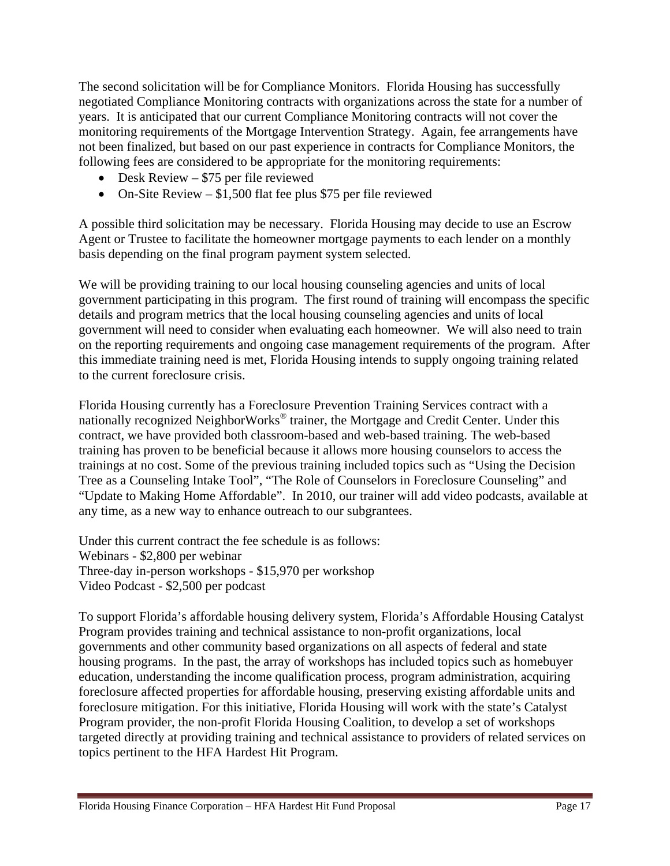The second solicitation will be for Compliance Monitors. Florida Housing has successfully negotiated Compliance Monitoring contracts with organizations across the state for a number of years. It is anticipated that our current Compliance Monitoring contracts will not cover the monitoring requirements of the Mortgage Intervention Strategy. Again, fee arrangements have not been finalized, but based on our past experience in contracts for Compliance Monitors, the following fees are considered to be appropriate for the monitoring requirements:

- Desk Review \$75 per file reviewed
- On-Site Review  $$1,500$  flat fee plus \$75 per file reviewed

A possible third solicitation may be necessary. Florida Housing may decide to use an Escrow Agent or Trustee to facilitate the homeowner mortgage payments to each lender on a monthly basis depending on the final program payment system selected.

We will be providing training to our local housing counseling agencies and units of local government participating in this program. The first round of training will encompass the specific details and program metrics that the local housing counseling agencies and units of local government will need to consider when evaluating each homeowner. We will also need to train on the reporting requirements and ongoing case management requirements of the program. After this immediate training need is met, Florida Housing intends to supply ongoing training related to the current foreclosure crisis.

Florida Housing currently has a Foreclosure Prevention Training Services contract with a nationally recognized NeighborWorks<sup>®</sup> trainer, the Mortgage and Credit Center. Under this contract, we have provided both classroom-based and web-based training. The web-based training has proven to be beneficial because it allows more housing counselors to access the trainings at no cost. Some of the previous training included topics such as "Using the Decision Tree as a Counseling Intake Tool", "The Role of Counselors in Foreclosure Counseling" and "Update to Making Home Affordable". In 2010, our trainer will add video podcasts, available at any time, as a new way to enhance outreach to our subgrantees.

Under this current contract the fee schedule is as follows: Webinars - \$2,800 per webinar Three-day in-person workshops - \$15,970 per workshop Video Podcast - \$2,500 per podcast

To support Florida's affordable housing delivery system, Florida's Affordable Housing Catalyst Program provides training and technical assistance to non-profit organizations, local governments and other community based organizations on all aspects of federal and state housing programs. In the past, the array of workshops has included topics such as homebuyer education, understanding the income qualification process, program administration, acquiring foreclosure affected properties for affordable housing, preserving existing affordable units and foreclosure mitigation. For this initiative, Florida Housing will work with the state's Catalyst Program provider, the non-profit Florida Housing Coalition, to develop a set of workshops targeted directly at providing training and technical assistance to providers of related services on topics pertinent to the HFA Hardest Hit Program.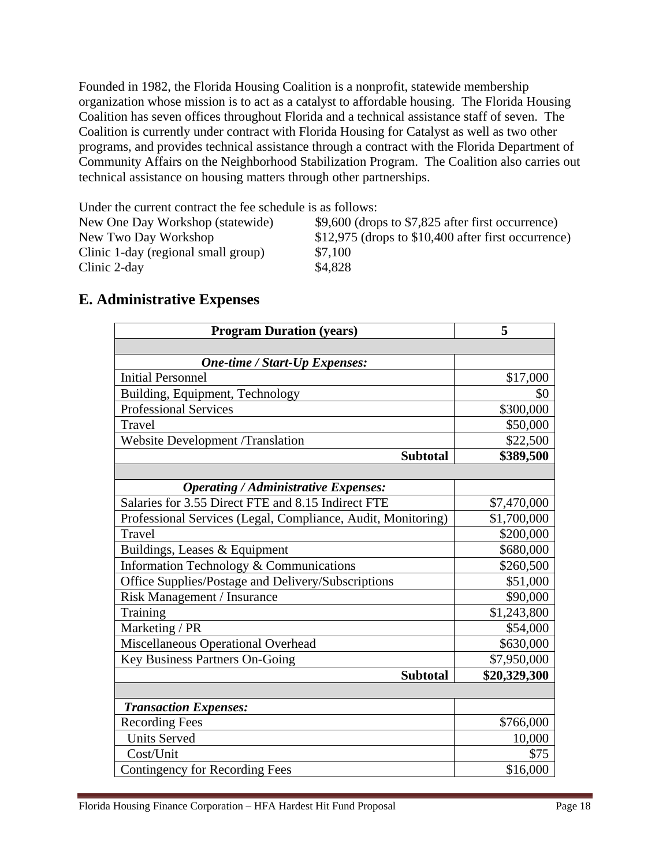Founded in 1982, the Florida Housing Coalition is a nonprofit, statewide membership organization whose mission is to act as a catalyst to affordable housing. The Florida Housing Coalition has seven offices throughout Florida and a technical assistance staff of seven. The Coalition is currently under contract with Florida Housing for Catalyst as well as two other programs, and provides technical assistance through a contract with the Florida Department of Community Affairs on the Neighborhood Stabilization Program. The Coalition also carries out technical assistance on housing matters through other partnerships.

Under the current contract the fee schedule is as follows:

| New One Day Workshop (statewide)    | $$9,600$ (drops to \$7,825 after first occurrence)    |
|-------------------------------------|-------------------------------------------------------|
| New Two Day Workshop                | $$12,975$ (drops to $$10,400$ after first occurrence) |
| Clinic 1-day (regional small group) | \$7,100                                               |
| Clinic 2-day                        | \$4,828                                               |

| <b>E. Administrative Expenses</b> |  |
|-----------------------------------|--|
|-----------------------------------|--|

| <b>Program Duration (years)</b>                              | 5            |
|--------------------------------------------------------------|--------------|
|                                                              |              |
| <b>One-time / Start-Up Expenses:</b>                         |              |
| <b>Initial Personnel</b>                                     | \$17,000     |
| Building, Equipment, Technology                              | \$0          |
| <b>Professional Services</b>                                 | \$300,000    |
| Travel                                                       | \$50,000     |
| <b>Website Development /Translation</b>                      | \$22,500     |
| <b>Subtotal</b>                                              | \$389,500    |
|                                                              |              |
| <b>Operating / Administrative Expenses:</b>                  |              |
| Salaries for 3.55 Direct FTE and 8.15 Indirect FTE           | \$7,470,000  |
| Professional Services (Legal, Compliance, Audit, Monitoring) | \$1,700,000  |
| <b>Travel</b>                                                | \$200,000    |
| Buildings, Leases & Equipment                                | \$680,000    |
| Information Technology & Communications                      | \$260,500    |
| Office Supplies/Postage and Delivery/Subscriptions           | \$51,000     |
| Risk Management / Insurance                                  | \$90,000     |
| Training                                                     | \$1,243,800  |
| Marketing / PR                                               | \$54,000     |
| Miscellaneous Operational Overhead                           | \$630,000    |
| Key Business Partners On-Going                               | \$7,950,000  |
| <b>Subtotal</b>                                              | \$20,329,300 |
|                                                              |              |
| <b>Transaction Expenses:</b>                                 |              |
| <b>Recording Fees</b>                                        | \$766,000    |
| <b>Units Served</b>                                          | 10,000       |
| Cost/Unit                                                    | \$75         |
| <b>Contingency for Recording Fees</b>                        | \$16,000     |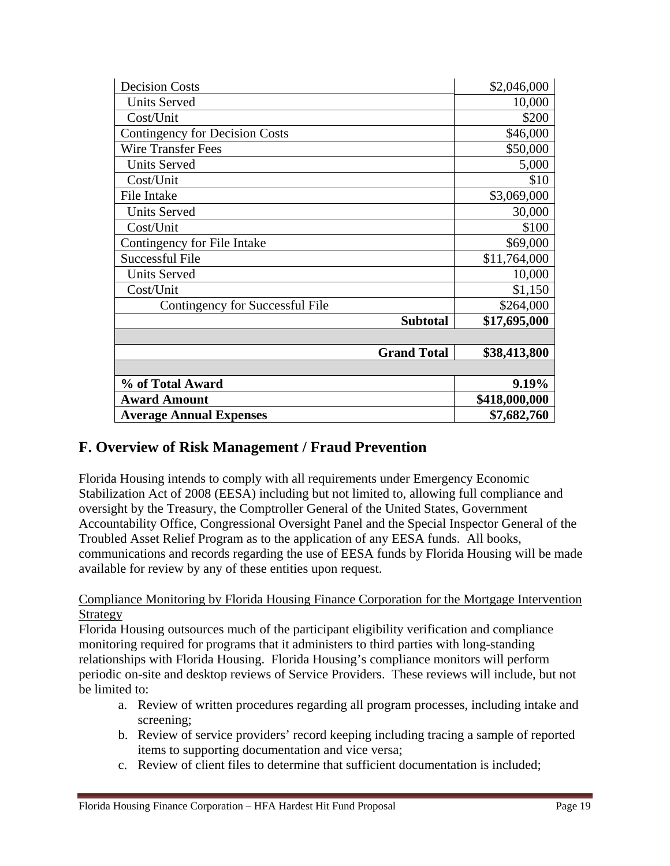| <b>Decision Costs</b>                 | \$2,046,000   |
|---------------------------------------|---------------|
| <b>Units Served</b>                   | 10,000        |
| Cost/Unit                             | \$200         |
| <b>Contingency for Decision Costs</b> | \$46,000      |
| <b>Wire Transfer Fees</b>             | \$50,000      |
| <b>Units Served</b>                   | 5,000         |
| Cost/Unit                             | \$10          |
| File Intake                           | \$3,069,000   |
| <b>Units Served</b>                   | 30,000        |
| Cost/Unit                             | \$100         |
| Contingency for File Intake           | \$69,000      |
| <b>Successful File</b>                | \$11,764,000  |
| <b>Units Served</b>                   | 10,000        |
| Cost/Unit                             | \$1,150       |
| Contingency for Successful File       | \$264,000     |
| <b>Subtotal</b>                       | \$17,695,000  |
|                                       |               |
| <b>Grand Total</b>                    | \$38,413,800  |
|                                       |               |
| % of Total Award                      | 9.19%         |
| <b>Award Amount</b>                   | \$418,000,000 |
| <b>Average Annual Expenses</b>        | \$7,682,760   |

## **F. Overview of Risk Management / Fraud Prevention**

Florida Housing intends to comply with all requirements under Emergency Economic Stabilization Act of 2008 (EESA) including but not limited to, allowing full compliance and oversight by the Treasury, the Comptroller General of the United States, Government Accountability Office, Congressional Oversight Panel and the Special Inspector General of the Troubled Asset Relief Program as to the application of any EESA funds. All books, communications and records regarding the use of EESA funds by Florida Housing will be made available for review by any of these entities upon request.

#### Compliance Monitoring by Florida Housing Finance Corporation for the Mortgage Intervention Strategy

Florida Housing outsources much of the participant eligibility verification and compliance monitoring required for programs that it administers to third parties with long-standing relationships with Florida Housing. Florida Housing's compliance monitors will perform periodic on-site and desktop reviews of Service Providers. These reviews will include, but not be limited to:

- a. Review of written procedures regarding all program processes, including intake and screening;
- b. Review of service providers' record keeping including tracing a sample of reported items to supporting documentation and vice versa;
- c. Review of client files to determine that sufficient documentation is included;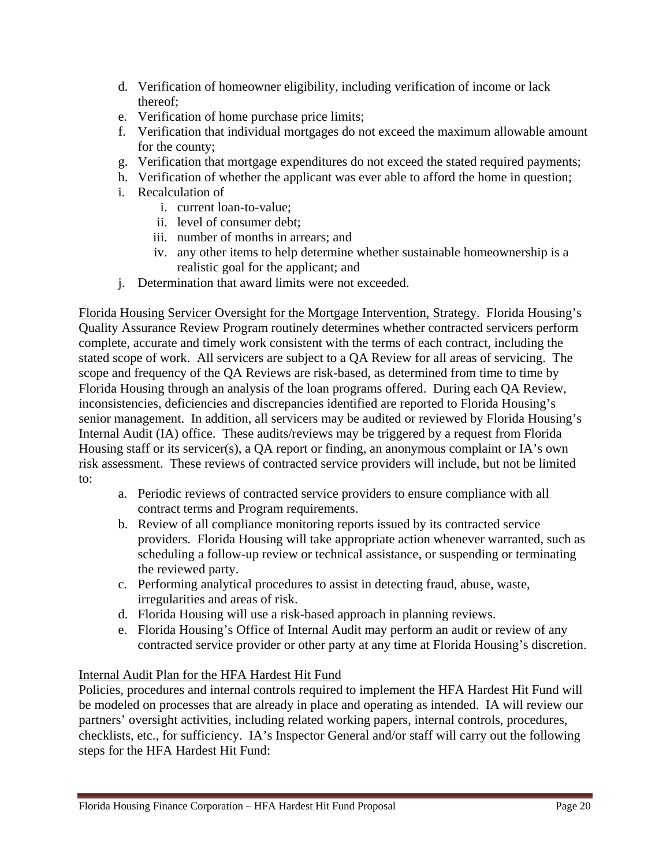- d. Verification of homeowner eligibility, including verification of income or lack thereof;
- e. Verification of home purchase price limits;
- f. Verification that individual mortgages do not exceed the maximum allowable amount for the county;
- g. Verification that mortgage expenditures do not exceed the stated required payments;
- h. Verification of whether the applicant was ever able to afford the home in question;
- i. Recalculation of
	- i. current loan-to-value;
	- ii. level of consumer debt;
	- iii. number of months in arrears; and
	- iv. any other items to help determine whether sustainable homeownership is a realistic goal for the applicant; and
- j. Determination that award limits were not exceeded.

Florida Housing Servicer Oversight for the Mortgage Intervention, Strategy. Florida Housing's Quality Assurance Review Program routinely determines whether contracted servicers perform complete, accurate and timely work consistent with the terms of each contract, including the stated scope of work. All servicers are subject to a QA Review for all areas of servicing. The scope and frequency of the QA Reviews are risk-based, as determined from time to time by Florida Housing through an analysis of the loan programs offered. During each QA Review, inconsistencies, deficiencies and discrepancies identified are reported to Florida Housing's senior management. In addition, all servicers may be audited or reviewed by Florida Housing's Internal Audit (IA) office. These audits/reviews may be triggered by a request from Florida Housing staff or its servicer(s), a QA report or finding, an anonymous complaint or IA's own risk assessment. These reviews of contracted service providers will include, but not be limited to:

- a. Periodic reviews of contracted service providers to ensure compliance with all contract terms and Program requirements.
- b. Review of all compliance monitoring reports issued by its contracted service providers. Florida Housing will take appropriate action whenever warranted, such as scheduling a follow-up review or technical assistance, or suspending or terminating the reviewed party.
- c. Performing analytical procedures to assist in detecting fraud, abuse, waste, irregularities and areas of risk.
- d. Florida Housing will use a risk-based approach in planning reviews.
- e. Florida Housing's Office of Internal Audit may perform an audit or review of any contracted service provider or other party at any time at Florida Housing's discretion.

#### Internal Audit Plan for the HFA Hardest Hit Fund

Policies, procedures and internal controls required to implement the HFA Hardest Hit Fund will be modeled on processes that are already in place and operating as intended. IA will review our partners' oversight activities, including related working papers, internal controls, procedures, checklists, etc., for sufficiency. IA's Inspector General and/or staff will carry out the following steps for the HFA Hardest Hit Fund: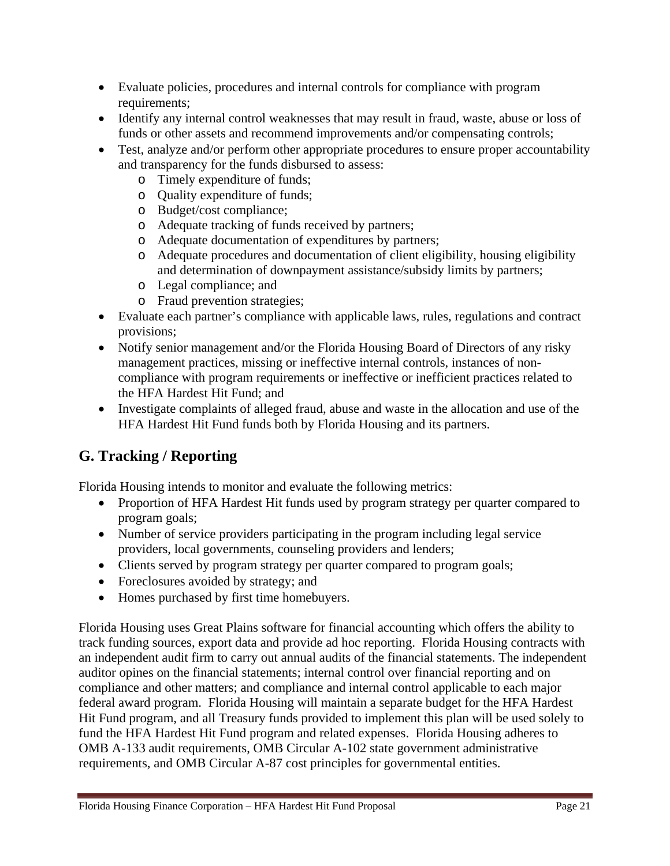- Evaluate policies, procedures and internal controls for compliance with program requirements;
- Identify any internal control weaknesses that may result in fraud, waste, abuse or loss of funds or other assets and recommend improvements and/or compensating controls;
- Test, analyze and/or perform other appropriate procedures to ensure proper accountability and transparency for the funds disbursed to assess:
	- o Timely expenditure of funds;
	- o Quality expenditure of funds;
	- o Budget/cost compliance;
	- o Adequate tracking of funds received by partners;
	- o Adequate documentation of expenditures by partners;
	- o Adequate procedures and documentation of client eligibility, housing eligibility and determination of downpayment assistance/subsidy limits by partners;
	- o Legal compliance; and
	- o Fraud prevention strategies;
- Evaluate each partner's compliance with applicable laws, rules, regulations and contract provisions;
- Notify senior management and/or the Florida Housing Board of Directors of any risky management practices, missing or ineffective internal controls, instances of noncompliance with program requirements or ineffective or inefficient practices related to the HFA Hardest Hit Fund; and
- Investigate complaints of alleged fraud, abuse and waste in the allocation and use of the HFA Hardest Hit Fund funds both by Florida Housing and its partners.

# **G. Tracking / Reporting**

Florida Housing intends to monitor and evaluate the following metrics:

- Proportion of HFA Hardest Hit funds used by program strategy per quarter compared to program goals;
- Number of service providers participating in the program including legal service providers, local governments, counseling providers and lenders;
- Clients served by program strategy per quarter compared to program goals;
- Foreclosures avoided by strategy; and
- Homes purchased by first time homebuyers.

Florida Housing uses Great Plains software for financial accounting which offers the ability to track funding sources, export data and provide ad hoc reporting. Florida Housing contracts with an independent audit firm to carry out annual audits of the financial statements. The independent auditor opines on the financial statements; internal control over financial reporting and on compliance and other matters; and compliance and internal control applicable to each major federal award program. Florida Housing will maintain a separate budget for the HFA Hardest Hit Fund program, and all Treasury funds provided to implement this plan will be used solely to fund the HFA Hardest Hit Fund program and related expenses. Florida Housing adheres to OMB A-133 audit requirements, OMB Circular A-102 state government administrative requirements, and OMB Circular A-87 cost principles for governmental entities.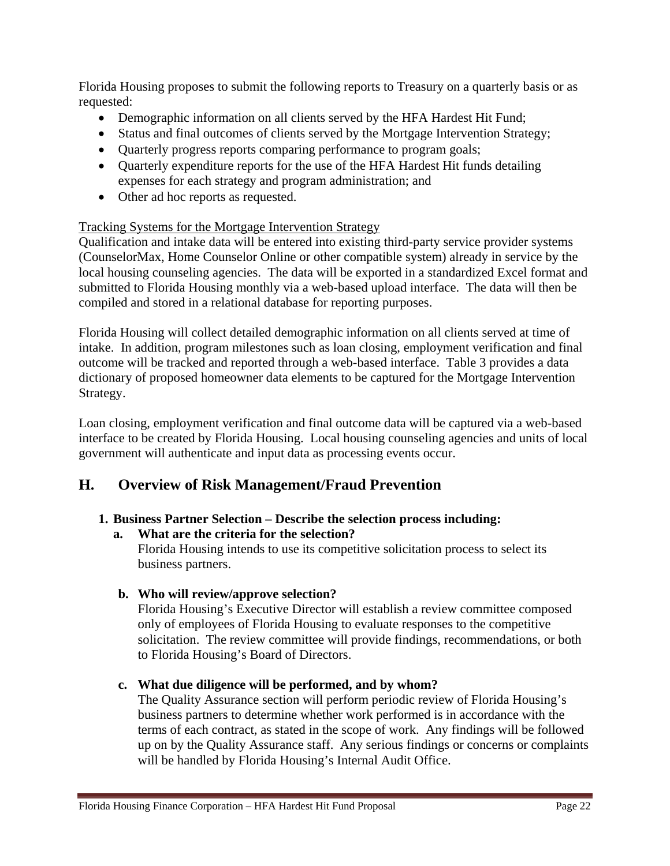Florida Housing proposes to submit the following reports to Treasury on a quarterly basis or as requested:

- Demographic information on all clients served by the HFA Hardest Hit Fund;
- Status and final outcomes of clients served by the Mortgage Intervention Strategy;
- Quarterly progress reports comparing performance to program goals;
- Quarterly expenditure reports for the use of the HFA Hardest Hit funds detailing expenses for each strategy and program administration; and
- Other ad hoc reports as requested.

#### Tracking Systems for the Mortgage Intervention Strategy

Qualification and intake data will be entered into existing third-party service provider systems (CounselorMax, Home Counselor Online or other compatible system) already in service by the local housing counseling agencies. The data will be exported in a standardized Excel format and submitted to Florida Housing monthly via a web-based upload interface. The data will then be compiled and stored in a relational database for reporting purposes.

Florida Housing will collect detailed demographic information on all clients served at time of intake. In addition, program milestones such as loan closing, employment verification and final outcome will be tracked and reported through a web-based interface. Table 3 provides a data dictionary of proposed homeowner data elements to be captured for the Mortgage Intervention Strategy.

Loan closing, employment verification and final outcome data will be captured via a web-based interface to be created by Florida Housing. Local housing counseling agencies and units of local government will authenticate and input data as processing events occur.

## **H. Overview of Risk Management/Fraud Prevention**

#### **1. Business Partner Selection – Describe the selection process including:**

#### **a. What are the criteria for the selection?**  Florida Housing intends to use its competitive solicitation process to select its business partners.

**b. Who will review/approve selection?** 

Florida Housing's Executive Director will establish a review committee composed only of employees of Florida Housing to evaluate responses to the competitive solicitation. The review committee will provide findings, recommendations, or both to Florida Housing's Board of Directors.

#### **c. What due diligence will be performed, and by whom?**

The Quality Assurance section will perform periodic review of Florida Housing's business partners to determine whether work performed is in accordance with the terms of each contract, as stated in the scope of work. Any findings will be followed up on by the Quality Assurance staff. Any serious findings or concerns or complaints will be handled by Florida Housing's Internal Audit Office.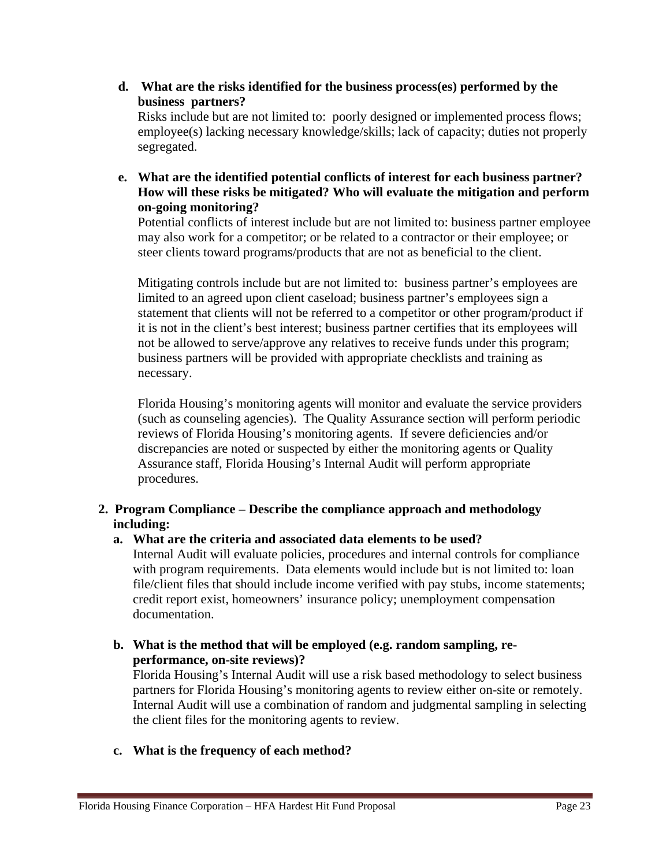**d. What are the risks identified for the business process(es) performed by the business partners?** 

Risks include but are not limited to: poorly designed or implemented process flows; employee(s) lacking necessary knowledge/skills; lack of capacity; duties not properly segregated.

**e. What are the identified potential conflicts of interest for each business partner? How will these risks be mitigated? Who will evaluate the mitigation and perform on-going monitoring?** 

Potential conflicts of interest include but are not limited to: business partner employee may also work for a competitor; or be related to a contractor or their employee; or steer clients toward programs/products that are not as beneficial to the client.

Mitigating controls include but are not limited to: business partner's employees are limited to an agreed upon client caseload; business partner's employees sign a statement that clients will not be referred to a competitor or other program/product if it is not in the client's best interest; business partner certifies that its employees will not be allowed to serve/approve any relatives to receive funds under this program; business partners will be provided with appropriate checklists and training as necessary.

Florida Housing's monitoring agents will monitor and evaluate the service providers (such as counseling agencies). The Quality Assurance section will perform periodic reviews of Florida Housing's monitoring agents. If severe deficiencies and/or discrepancies are noted or suspected by either the monitoring agents or Quality Assurance staff, Florida Housing's Internal Audit will perform appropriate procedures.

#### **2. Program Compliance – Describe the compliance approach and methodology including:**

#### **a. What are the criteria and associated data elements to be used?**

Internal Audit will evaluate policies, procedures and internal controls for compliance with program requirements. Data elements would include but is not limited to: loan file/client files that should include income verified with pay stubs, income statements; credit report exist, homeowners' insurance policy; unemployment compensation documentation.

**b. What is the method that will be employed (e.g. random sampling, reperformance, on-site reviews)?** 

Florida Housing's Internal Audit will use a risk based methodology to select business partners for Florida Housing's monitoring agents to review either on-site or remotely. Internal Audit will use a combination of random and judgmental sampling in selecting the client files for the monitoring agents to review.

#### **c. What is the frequency of each method?**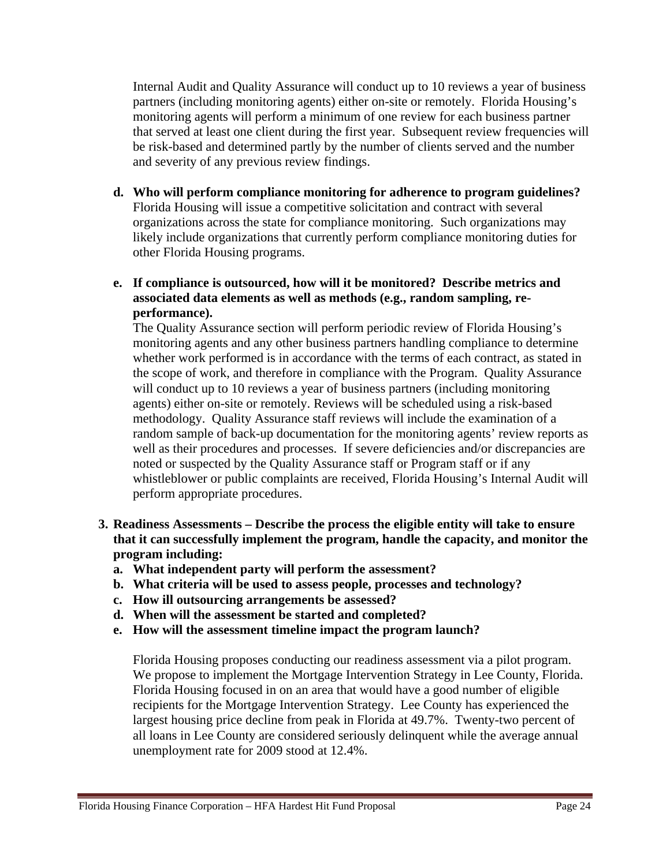Internal Audit and Quality Assurance will conduct up to 10 reviews a year of business partners (including monitoring agents) either on-site or remotely. Florida Housing's monitoring agents will perform a minimum of one review for each business partner that served at least one client during the first year. Subsequent review frequencies will be risk-based and determined partly by the number of clients served and the number and severity of any previous review findings.

- **d. Who will perform compliance monitoring for adherence to program guidelines?**  Florida Housing will issue a competitive solicitation and contract with several organizations across the state for compliance monitoring. Such organizations may likely include organizations that currently perform compliance monitoring duties for other Florida Housing programs.
- **e. If compliance is outsourced, how will it be monitored? Describe metrics and associated data elements as well as methods (e.g., random sampling, reperformance).**

The Quality Assurance section will perform periodic review of Florida Housing's monitoring agents and any other business partners handling compliance to determine whether work performed is in accordance with the terms of each contract, as stated in the scope of work, and therefore in compliance with the Program. Quality Assurance will conduct up to 10 reviews a year of business partners (including monitoring agents) either on-site or remotely. Reviews will be scheduled using a risk-based methodology. Quality Assurance staff reviews will include the examination of a random sample of back-up documentation for the monitoring agents' review reports as well as their procedures and processes. If severe deficiencies and/or discrepancies are noted or suspected by the Quality Assurance staff or Program staff or if any whistleblower or public complaints are received, Florida Housing's Internal Audit will perform appropriate procedures.

- **3. Readiness Assessments Describe the process the eligible entity will take to ensure that it can successfully implement the program, handle the capacity, and monitor the program including:** 
	- **a. What independent party will perform the assessment?**
	- **b. What criteria will be used to assess people, processes and technology?**
	- **c. How ill outsourcing arrangements be assessed?**
	- **d. When will the assessment be started and completed?**
	- **e. How will the assessment timeline impact the program launch?**

Florida Housing proposes conducting our readiness assessment via a pilot program. We propose to implement the Mortgage Intervention Strategy in Lee County, Florida. Florida Housing focused in on an area that would have a good number of eligible recipients for the Mortgage Intervention Strategy. Lee County has experienced the largest housing price decline from peak in Florida at 49.7%. Twenty-two percent of all loans in Lee County are considered seriously delinquent while the average annual unemployment rate for 2009 stood at 12.4%.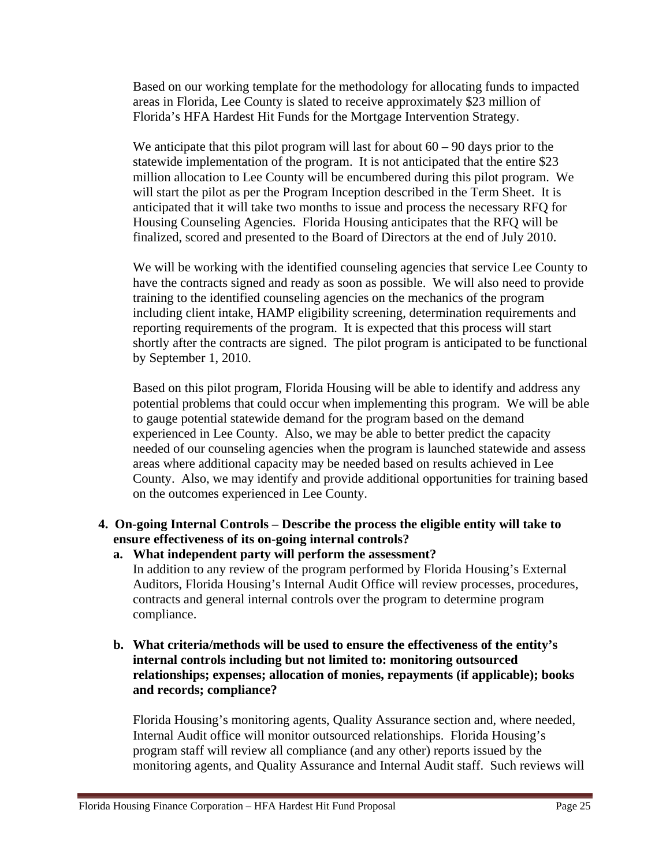Based on our working template for the methodology for allocating funds to impacted areas in Florida, Lee County is slated to receive approximately \$23 million of Florida's HFA Hardest Hit Funds for the Mortgage Intervention Strategy.

We anticipate that this pilot program will last for about  $60 - 90$  days prior to the statewide implementation of the program. It is not anticipated that the entire \$23 million allocation to Lee County will be encumbered during this pilot program. We will start the pilot as per the Program Inception described in the Term Sheet. It is anticipated that it will take two months to issue and process the necessary RFQ for Housing Counseling Agencies. Florida Housing anticipates that the RFQ will be finalized, scored and presented to the Board of Directors at the end of July 2010.

We will be working with the identified counseling agencies that service Lee County to have the contracts signed and ready as soon as possible. We will also need to provide training to the identified counseling agencies on the mechanics of the program including client intake, HAMP eligibility screening, determination requirements and reporting requirements of the program. It is expected that this process will start shortly after the contracts are signed. The pilot program is anticipated to be functional by September 1, 2010.

Based on this pilot program, Florida Housing will be able to identify and address any potential problems that could occur when implementing this program. We will be able to gauge potential statewide demand for the program based on the demand experienced in Lee County. Also, we may be able to better predict the capacity needed of our counseling agencies when the program is launched statewide and assess areas where additional capacity may be needed based on results achieved in Lee County. Also, we may identify and provide additional opportunities for training based on the outcomes experienced in Lee County.

#### **4. On-going Internal Controls – Describe the process the eligible entity will take to ensure effectiveness of its on-going internal controls?**

**a. What independent party will perform the assessment?**  In addition to any review of the program performed by Florida Housing's External Auditors, Florida Housing's Internal Audit Office will review processes, procedures, contracts and general internal controls over the program to determine program compliance.

#### **b. What criteria/methods will be used to ensure the effectiveness of the entity's internal controls including but not limited to: monitoring outsourced relationships; expenses; allocation of monies, repayments (if applicable); books and records; compliance?**

Florida Housing's monitoring agents, Quality Assurance section and, where needed, Internal Audit office will monitor outsourced relationships. Florida Housing's program staff will review all compliance (and any other) reports issued by the monitoring agents, and Quality Assurance and Internal Audit staff. Such reviews will